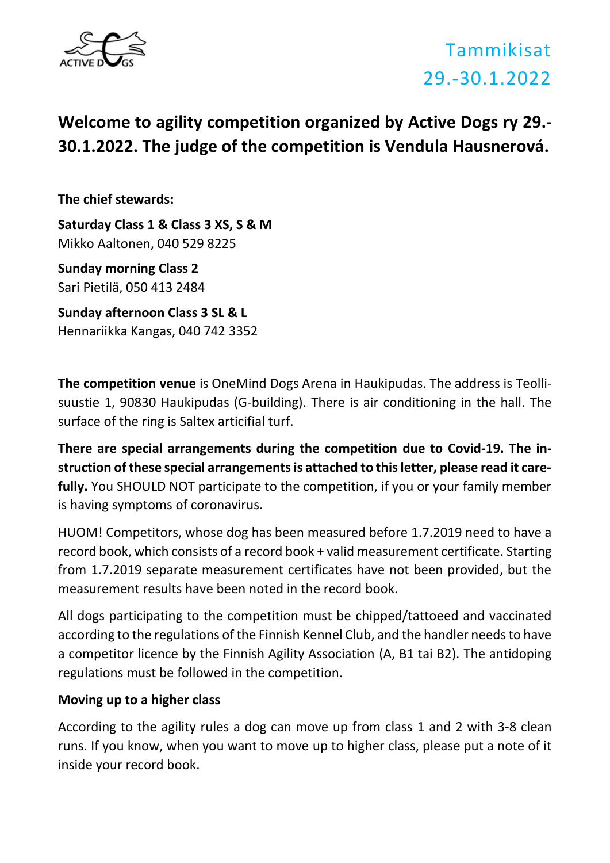

### **Welcome to agility competition organized by Active Dogs ry 29.- 30.1.2022. The judge of the competition is Vendula Hausnerová.**

**The chief stewards:**

**Saturday Class 1 & Class 3 XS, S & M** Mikko Aaltonen, 040 529 8225

**Sunday morning Class 2** Sari Pietilä, 050 413 2484

**Sunday afternoon Class 3 SL & L**  Hennariikka Kangas, 040 742 3352

**The competition venue** is OneMind Dogs Arena in Haukipudas. The address is Teollisuustie 1, 90830 Haukipudas (G-building). There is air conditioning in the hall. The surface of the ring is Saltex articifial turf.

**There are special arrangements during the competition due to Covid-19. The instruction of these special arrangements is attached to this letter, please read it carefully.** You SHOULD NOT participate to the competition, if you or your family member is having symptoms of coronavirus.

HUOM! Competitors, whose dog has been measured before 1.7.2019 need to have a record book, which consists of a record book + valid measurement certificate. Starting from 1.7.2019 separate measurement certificates have not been provided, but the measurement results have been noted in the record book.

All dogs participating to the competition must be chipped/tattoeed and vaccinated according to the regulations of the Finnish Kennel Club, and the handler needs to have a competitor licence by the Finnish Agility Association (A, B1 tai B2). The antidoping regulations must be followed in the competition.

### **Moving up to a higher class**

According to the agility rules a dog can move up from class 1 and 2 with 3-8 clean runs. If you know, when you want to move up to higher class, please put a note of it inside your record book.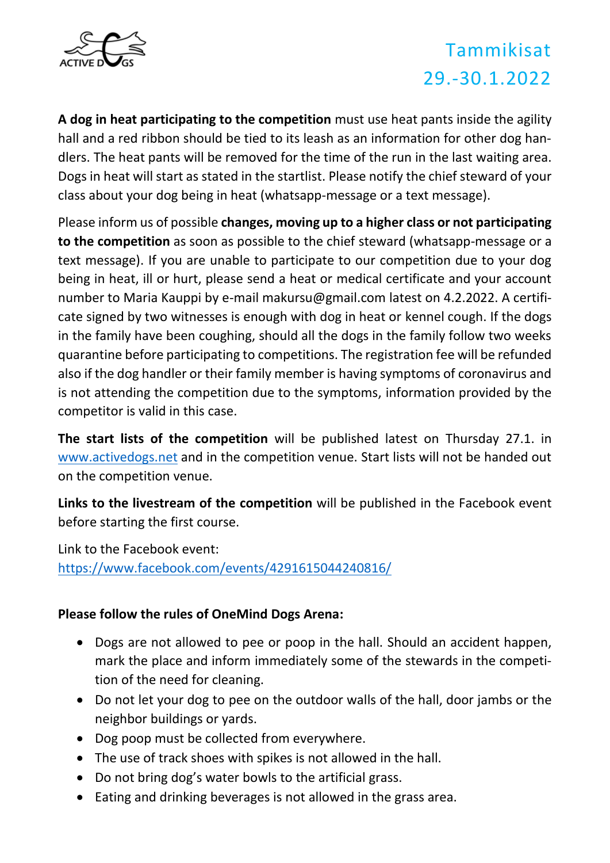

**A dog in heat participating to the competition** must use heat pants inside the agility hall and a red ribbon should be tied to its leash as an information for other dog handlers. The heat pants will be removed for the time of the run in the last waiting area. Dogs in heat will start as stated in the startlist. Please notify the chief steward of your class about your dog being in heat (whatsapp-message or a text message).

Please inform us of possible **changes, moving up to a higher class or not participating to the competition** as soon as possible to the chief steward (whatsapp-message or a text message). If you are unable to participate to our competition due to your dog being in heat, ill or hurt, please send a heat or medical certificate and your account number to Maria Kauppi by e-mail makursu@gmail.com latest on 4.2.2022. A certificate signed by two witnesses is enough with dog in heat or kennel cough. If the dogs in the family have been coughing, should all the dogs in the family follow two weeks quarantine before participating to competitions. The registration fee will be refunded also if the dog handler or their family member is having symptoms of coronavirus and is not attending the competition due to the symptoms, information provided by the competitor is valid in this case.

**The start lists of the competition** will be published latest on Thursday 27.1. in [www.activedogs.net](http://www.activedogs.net/) and in the competition venue. Start lists will not be handed out on the competition venue.

**Links to the livestream of the competition** will be published in the Facebook event before starting the first course.

Link to the Facebook event: <https://www.facebook.com/events/4291615044240816/>

### **Please follow the rules of OneMind Dogs Arena:**

- Dogs are not allowed to pee or poop in the hall. Should an accident happen, mark the place and inform immediately some of the stewards in the competition of the need for cleaning.
- Do not let your dog to pee on the outdoor walls of the hall, door jambs or the neighbor buildings or yards.
- Dog poop must be collected from everywhere.
- The use of track shoes with spikes is not allowed in the hall.
- Do not bring dog's water bowls to the artificial grass.
- Eating and drinking beverages is not allowed in the grass area.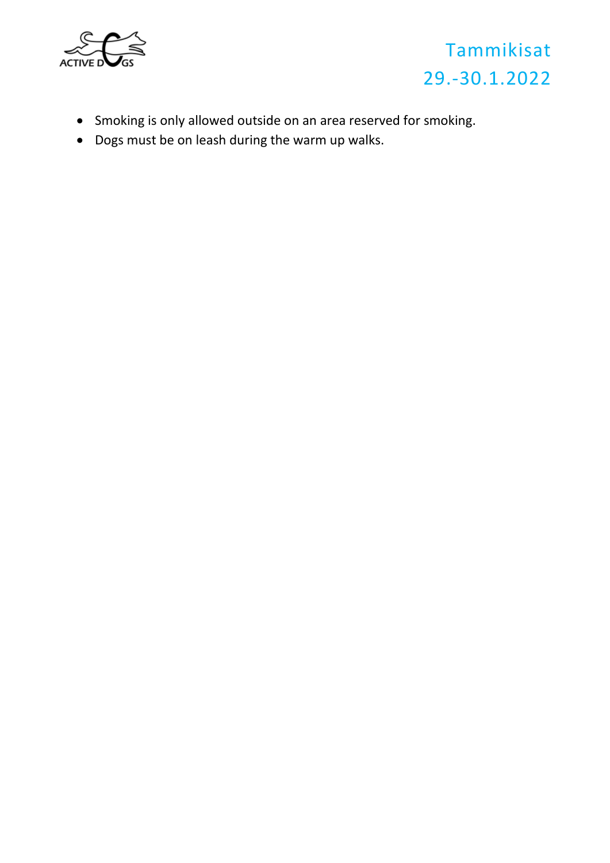



- Smoking is only allowed outside on an area reserved for smoking.
- Dogs must be on leash during the warm up walks.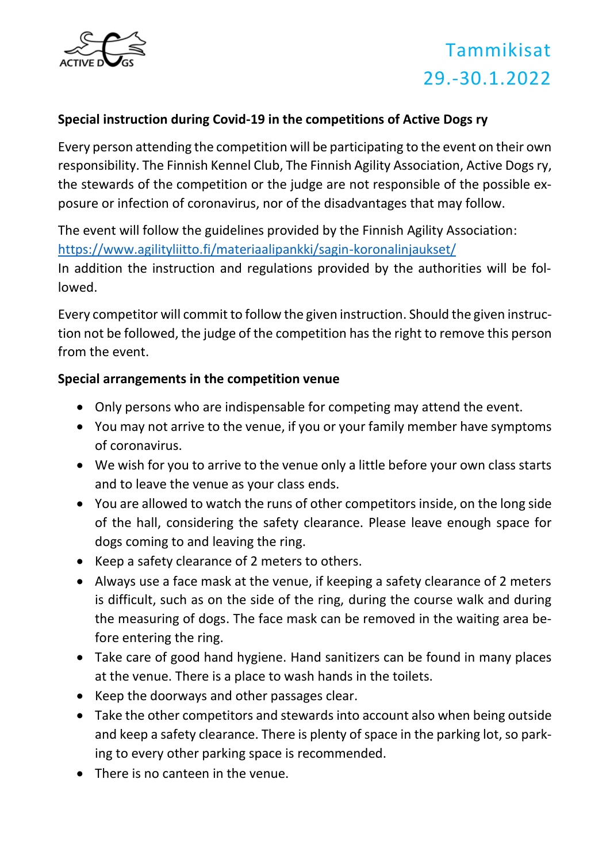

### **Special instruction during Covid-19 in the competitions of Active Dogs ry**

Every person attending the competition will be participating to the event on their own responsibility. The Finnish Kennel Club, The Finnish Agility Association, Active Dogs ry, the stewards of the competition or the judge are not responsible of the possible exposure or infection of coronavirus, nor of the disadvantages that may follow.

The event will follow the guidelines provided by the Finnish Agility Association: <https://www.agilityliitto.fi/materiaalipankki/sagin-koronalinjaukset/>

In addition the instruction and regulations provided by the authorities will be followed.

Every competitor will commit to follow the given instruction. Should the given instruction not be followed, the judge of the competition has the right to remove this person from the event.

#### **Special arrangements in the competition venue**

- Only persons who are indispensable for competing may attend the event.
- You may not arrive to the venue, if you or your family member have symptoms of coronavirus.
- We wish for you to arrive to the venue only a little before your own class starts and to leave the venue as your class ends.
- You are allowed to watch the runs of other competitors inside, on the long side of the hall, considering the safety clearance. Please leave enough space for dogs coming to and leaving the ring.
- Keep a safety clearance of 2 meters to others.
- Always use a face mask at the venue, if keeping a safety clearance of 2 meters is difficult, such as on the side of the ring, during the course walk and during the measuring of dogs. The face mask can be removed in the waiting area before entering the ring.
- Take care of good hand hygiene. Hand sanitizers can be found in many places at the venue. There is a place to wash hands in the toilets.
- Keep the doorways and other passages clear.
- Take the other competitors and stewards into account also when being outside and keep a safety clearance. There is plenty of space in the parking lot, so parking to every other parking space is recommended.
- There is no canteen in the venue.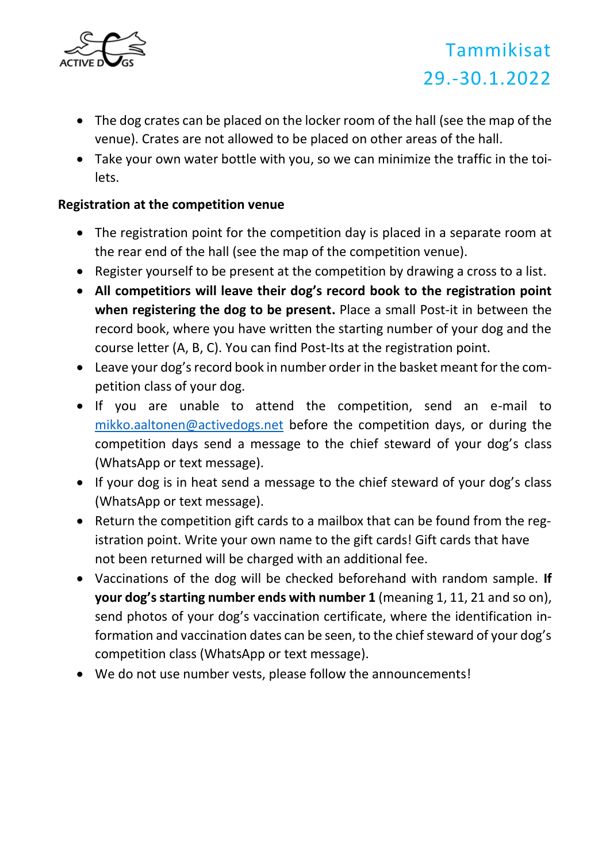

- The dog crates can be placed on the locker room of the hall (see the map of the venue). Crates are not allowed to be placed on other areas of the hall.
- Take your own water bottle with you, so we can minimize the traffic in the toilets.

### **Registration at the competition venue**

- The registration point for the competition day is placed in a separate room at the rear end of the hall (see the map of the competition venue).
- Register yourself to be present at the competition by drawing a cross to a list.
- **All competitiors will leave their dog's record book to the registration point when registering the dog to be present.** Place a small Post-it in between the record book, where you have written the starting number of your dog and the course letter (A, B, C). You can find Post-Its at the registration point.
- Leave your dog's record book in number order in the basket meant for the competition class of your dog.
- If you are unable to attend the competition, send an e-mail to [mikko.aaltonen@activedogs.net](mailto:mikko.aaltonen@activedogs.net) before the competition days, or during the competition days send a message to the chief steward of your dog's class (WhatsApp or text message).
- If your dog is in heat send a message to the chief steward of your dog's class (WhatsApp or text message).
- Return the competition gift cards to a mailbox that can be found from the registration point. Write your own name to the gift cards! Gift cards that have not been returned will be charged with an additional fee.
- Vaccinations of the dog will be checked beforehand with random sample. **If your dog's starting number ends with number 1** (meaning 1, 11, 21 and so on), send photos of your dog's vaccination certificate, where the identification information and vaccination dates can be seen, to the chief steward of your dog's competition class (WhatsApp or text message).
- We do not use number vests, please follow the announcements!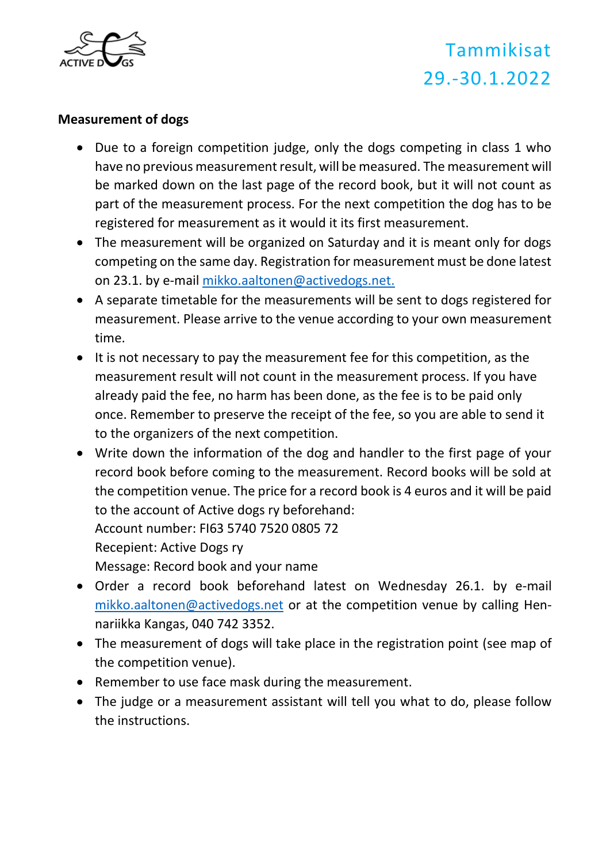

#### **Measurement of dogs**

- Due to a foreign competition judge, only the dogs competing in class 1 who have no previous measurement result, will be measured. The measurement will be marked down on the last page of the record book, but it will not count as part of the measurement process. For the next competition the dog has to be registered for measurement as it would it its first measurement.
- The measurement will be organized on Saturday and it is meant only for dogs competing on the same day. Registration for measurement must be done latest on 23.1. by e-mail [mikko.aaltonen@activedogs.net.](mailto:mikko.aaltonen@activedogs.net)
- A separate timetable for the measurements will be sent to dogs registered for measurement. Please arrive to the venue according to your own measurement time.
- It is not necessary to pay the measurement fee for this competition, as the measurement result will not count in the measurement process. If you have already paid the fee, no harm has been done, as the fee is to be paid only once. Remember to preserve the receipt of the fee, so you are able to send it to the organizers of the next competition.
- Write down the information of the dog and handler to the first page of your record book before coming to the measurement. Record books will be sold at the competition venue. The price for a record book is 4 euros and it will be paid to the account of Active dogs ry beforehand: Account number: FI63 5740 7520 0805 72 Recepient: Active Dogs ry Message: Record book and your name
- Order a record book beforehand latest on Wednesday 26.1. by e-mail [mikko.aaltonen@activedogs.net](mailto:mikko.aaltonen@activedogs.net) or at the competition venue by calling Hennariikka Kangas, 040 742 3352.
- The measurement of dogs will take place in the registration point (see map of the competition venue).
- Remember to use face mask during the measurement.
- The judge or a measurement assistant will tell you what to do, please follow the instructions.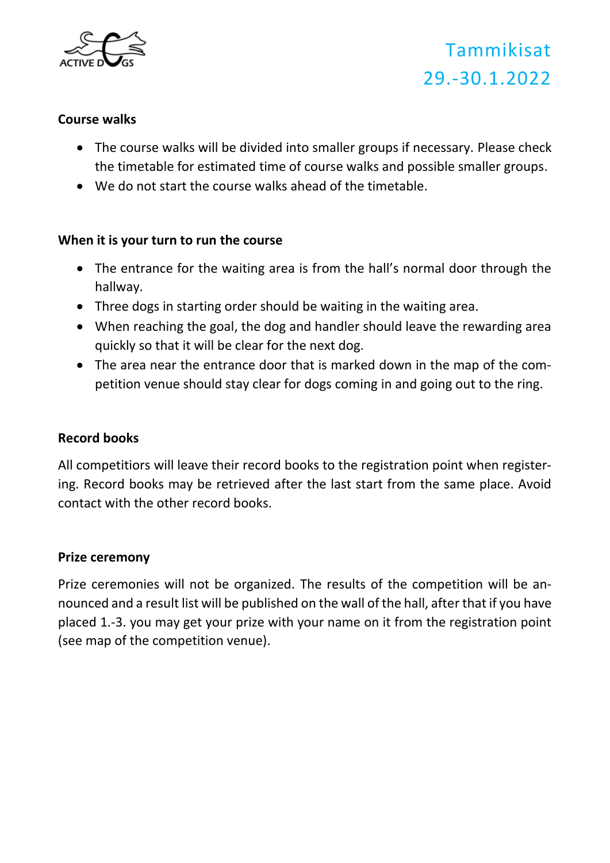

#### **Course walks**

- The course walks will be divided into smaller groups if necessary. Please check the timetable for estimated time of course walks and possible smaller groups.
- We do not start the course walks ahead of the timetable.

#### **When it is your turn to run the course**

- The entrance for the waiting area is from the hall's normal door through the hallway.
- Three dogs in starting order should be waiting in the waiting area.
- When reaching the goal, the dog and handler should leave the rewarding area quickly so that it will be clear for the next dog.
- The area near the entrance door that is marked down in the map of the competition venue should stay clear for dogs coming in and going out to the ring.

#### **Record books**

All competitiors will leave their record books to the registration point when registering. Record books may be retrieved after the last start from the same place. Avoid contact with the other record books.

#### **Prize ceremony**

Prize ceremonies will not be organized. The results of the competition will be announced and a result list will be published on the wall of the hall, after that if you have placed 1.-3. you may get your prize with your name on it from the registration point (see map of the competition venue).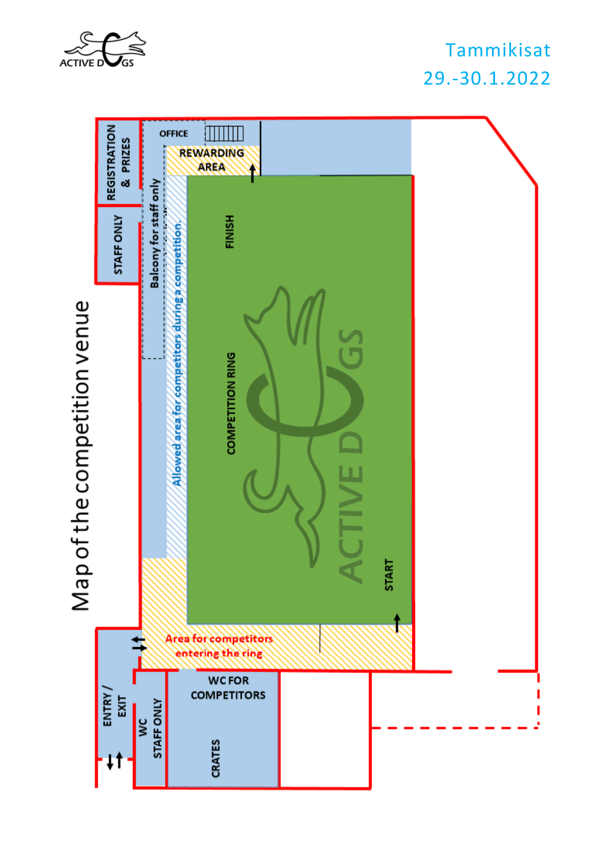

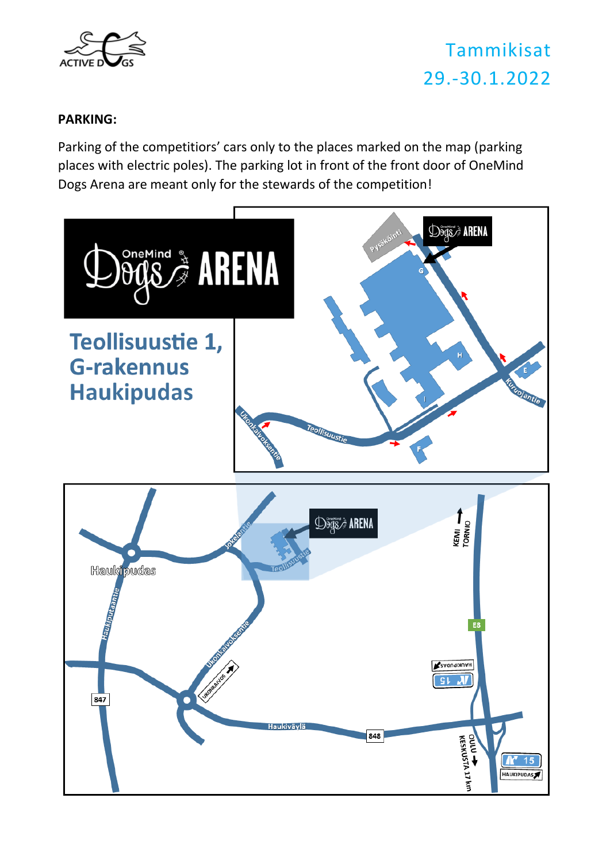

#### **PARKING:**

Parking of the competitiors' cars only to the places marked on the map (parking places with electric poles). The parking lot in front of the front door of OneMind Dogs Arena are meant only for the stewards of the competition!